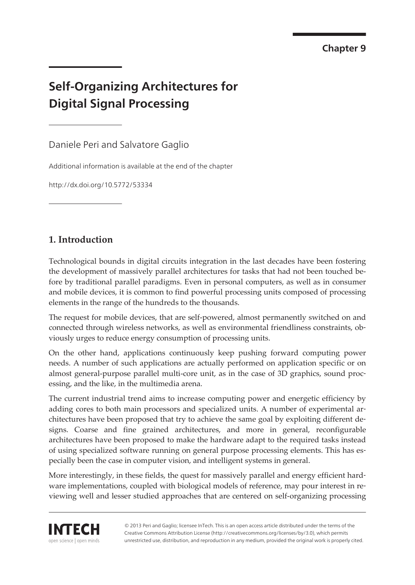**Chapter 9**

# **Self-Organizing Architectures for Digital Signal Processing**

Daniele Peri and Salvatore Gaglio

Additional information is available at the end of the chapter

http://dx.doi.org/10.5772/53334

## **1. Introduction**

Technological bounds in digital circuits integration in the last decades have been fostering the development of massively parallel architectures for tasks that had not been touched before by traditional parallel paradigms. Even in personal computers, as well as in consumer and mobile devices, it is common to find powerful processing units composed of processing elements in the range of the hundreds to the thousands.

The request for mobile devices, that are self-powered, almost permanently switched on and connected through wireless networks, as well as environmental friendliness constraints, ob‐ viously urges to reduce energy consumption of processing units.

On the other hand, applications continuously keep pushing forward computing power needs. A number of such applications are actually performed on application specific or on almost general-purpose parallel multi-core unit, as in the case of 3D graphics, sound proc‐ essing, and the like, in the multimedia arena.

The current industrial trend aims to increase computing power and energetic efficiency by adding cores to both main processors and specialized units. A number of experimental ar‐ chitectures have been proposed that try to achieve the same goal by exploiting different de‐ signs. Coarse and fine grained architectures, and more in general, reconfigurable architectures have been proposed to make the hardware adapt to the required tasks instead of using specialized software running on general purpose processing elements. This has es‐ pecially been the case in computer vision, and intelligent systems in general.

More interestingly, in these fields, the quest for massively parallel and energy efficient hardware implementations, coupled with biological models of reference, may pour interest in reviewing well and lesser studied approaches that are centered on self-organizing processing



© 2013 Peri and Gaglio; licensee InTech. This is an open access article distributed under the terms of the Creative Commons Attribution License (http://creativecommons.org/licenses/by/3.0), which permits unrestricted use, distribution, and reproduction in any medium, provided the original work is properly cited.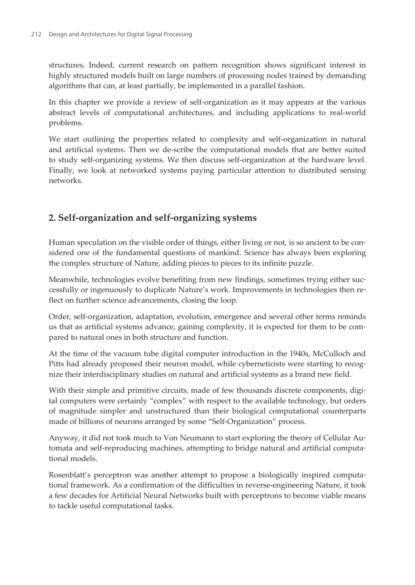structures. Indeed, current research on pattern recognition shows significant interest in highly structured models built on large numbers of processing nodes trained by demanding algorithms that can, at least partially, be implemented in a parallel fashion.

In this chapter we provide a review of self-organization as it may appears at the various abstract levels of computational architectures, and including applications to real-world problems.

We start outlining the properties related to complexity and self-organization in natural and artificial systems. Then we de-scribe the computational models that are better suited to study self-organizing systems. We then discuss self-organization at the hardware level. Finally, we look at networked systems paying particular attention to distributed sensing networks.

## **2. Self-organization and self-organizing systems**

Human speculation on the visible order of things, either living or not, is so ancient to be considered one of the fundamental questions of mankind. Science has always been exploring the complex structure of Nature, adding pieces to pieces to its infinite puzzle.

Meanwhile, technologies evolve benefiting from new findings, sometimes trying either suc‐ cessfully or ingenuously to duplicate Nature's work. Improvements in technologies then re‐ flect on further science advancements, closing the loop.

Order, self-organization, adaptation, evolution, emergence and several other terms reminds us that as artificial systems advance, gaining complexity, it is expected for them to be compared to natural ones in both structure and function.

At the time of the vacuum tube digital computer introduction in the 1940s, McCulloch and Pitts had already proposed their neuron model, while cyberneticists were starting to recognize their interdisciplinary studies on natural and artificial systems as a brand new field.

With their simple and primitive circuits, made of few thousands discrete components, digital computers were certainly "complex" with respect to the available technology, but orders of magnitude simpler and unstructured than their biological computational counterparts made of billions of neurons arranged by some "Self-Organization" process.

Anyway, it did not took much to Von Neumann to start exploring the theory of Cellular Au‐ tomata and self-reproducing machines, attempting to bridge natural and artificial computa‐ tional models.

Rosenblatt's perceptron was another attempt to propose a biologically inspired computa‐ tional framework. As a confirmation of the difficulties in reverse-engineering Nature, it took a few decades for Artificial Neural Networks built with perceptrons to become viable means to tackle useful computational tasks.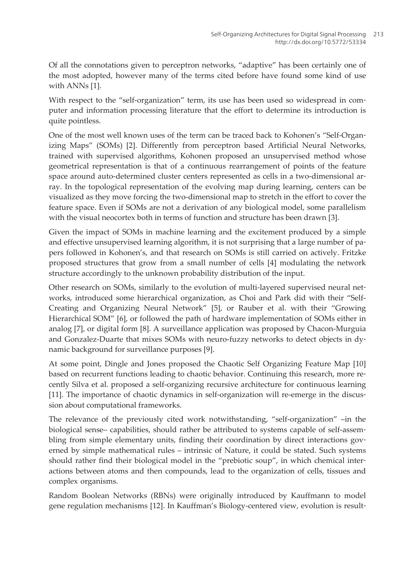Of all the connotations given to perceptron networks, "adaptive" has been certainly one of the most adopted, however many of the terms cited before have found some kind of use with ANNs [\[1\]](#page-13-0).

With respect to the "self-organization" term, its use has been used so widespread in computer and information processing literature that the effort to determine its introduction is quite pointless.

One of the most well known uses of the term can be traced back to Kohonen's "Self-Organ‐ izing Maps" (SOMs) [[2](#page-13-0)]. Differently from perceptron based Artificial Neural Networks, trained with supervised algorithms, Kohonen proposed an unsupervised method whose geometrical representation is that of a continuous rearrangement of points of the feature space around auto-determined cluster centers represented as cells in a two-dimensional array. In the topological representation of the evolving map during learning, centers can be visualized as they move forcing the two-dimensional map to stretch in the effort to cover the feature space. Even if SOMs are not a derivation of any biological model, some parallelism with the visual neocortex both in terms of function and structure has been drawn [\[3\]](#page-13-0).

Given the impact of SOMs in machine learning and the excitement produced by a simple and effective unsupervised learning algorithm, it is not surprising that a large number of papers followed in Kohonen's, and that research on SOMs is still carried on actively. Fritzke proposed structures that grow from a small number of cells [[4](#page-13-0)] modulating the network structure accordingly to the unknown probability distribution of the input.

Other research on SOMs, similarly to the evolution of multi-layered supervised neural net‐ works, introduced some hierarchical organization, as Choi and Park did with their "Self-Creating and Organizing Neural Network" [[5](#page-14-0)], or Rauber et al. with their "Growing Hierarchical SOM" [[6](#page-14-0)], or followed the path of hardware implementation of SOMs either in analog [\[7\]](#page-14-0), or digital form [[8](#page-14-0)]. A surveillance application was proposed by Chacon-Murguia and Gonzalez-Duarte that mixes SOMs with neuro-fuzzy networks to detect objects in dy‐ namic background for surveillance purposes [[9](#page-14-0)].

At some point, Dingle and Jones proposed the Chaotic Self Organizing Feature Map [\[10](#page-14-0)] based on recurrent functions leading to chaotic behavior. Continuing this research, more recently Silva et al. proposed a self-organizing recursive architecture for continuous learning [[11\]](#page-14-0). The importance of chaotic dynamics in self-organization will re-emerge in the discussion about computational frameworks.

The relevance of the previously cited work notwithstanding, "self-organization" –in the biological sense– capabilities, should rather be attributed to systems capable of self-assembling from simple elementary units, finding their coordination by direct interactions governed by simple mathematical rules – intrinsic of Nature, it could be stated. Such systems should rather find their biological model in the "prebiotic soup", in which chemical interactions between atoms and then compounds, lead to the organization of cells, tissues and complex organisms.

Random Boolean Networks (RBNs) were originally introduced by Kauffmann to model gene regulation mechanisms [\[12](#page-14-0)]. In Kauffman's Biology-centered view, evolution is result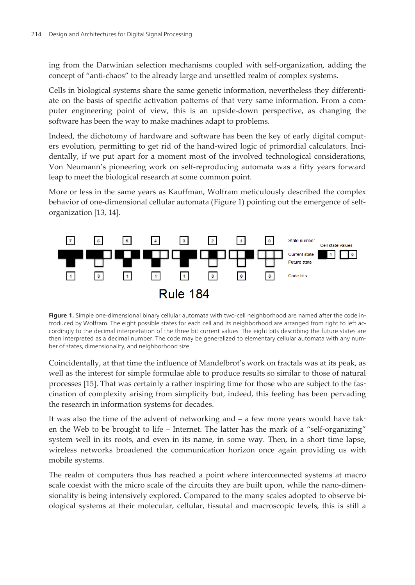<span id="page-3-0"></span>ing from the Darwinian selection mechanisms coupled with self-organization, adding the concept of "anti-chaos" to the already large and unsettled realm of complex systems.

Cells in biological systems share the same genetic information, nevertheless they differentiate on the basis of specific activation patterns of that very same information. From a computer engineering point of view, this is an upside-down perspective, as changing the software has been the way to make machines adapt to problems.

Indeed, the dichotomy of hardware and software has been the key of early digital comput‐ ers evolution, permitting to get rid of the hand-wired logic of primordial calculators. Incidentally, if we put apart for a moment most of the involved technological considerations, Von Neumann's pioneering work on self-reproducing automata was a fifty years forward leap to meet the biological research at some common point.

More or less in the same years as Kauffman, Wolfram meticulously described the complex behavior of one-dimensional cellular automata (Figure 1) pointing out the emergence of selforganization [\[13](#page-14-0), [14\]](#page-14-0).



Figure 1. Simple one-dimensional binary cellular automata with two-cell neighborhood are named after the code introduced by Wolfram. The eight possible states for each cell and its neighborhood are arranged from right to left ac‐ cordingly to the decimal interpretation of the three bit current values. The eight bits describing the future states are then interpreted as a decimal number. The code may be generalized to elementary cellular automata with any number of states, dimensionality, and neighborhood size.

Coincidentally, at that time the influence of Mandelbrot's work on fractals was at its peak, as well as the interest for simple formulae able to produce results so similar to those of natural processes [[15\]](#page-14-0). That was certainly a rather inspiring time for those who are subject to the fascination of complexity arising from simplicity but, indeed, this feeling has been pervading the research in information systems for decades.

It was also the time of the advent of networking and  $-$  a few more years would have taken the Web to be brought to life – Internet. The latter has the mark of a "self-organizing" system well in its roots, and even in its name, in some way. Then, in a short time lapse, wireless networks broadened the communication horizon once again providing us with mobile systems.

The realm of computers thus has reached a point where interconnected systems at macro scale coexist with the micro scale of the circuits they are built upon, while the nano-dimensionality is being intensively explored. Compared to the many scales adopted to observe biological systems at their molecular, cellular, tissutal and macroscopic levels, this is still a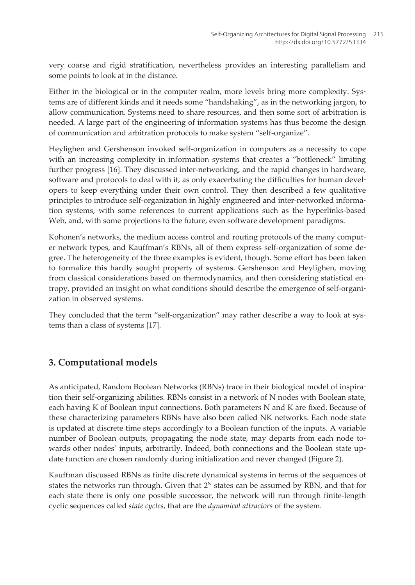very coarse and rigid stratification, nevertheless provides an interesting parallelism and some points to look at in the distance.

Either in the biological or in the computer realm, more levels bring more complexity. Systems are of different kinds and it needs some "handshaking", as in the networking jargon, to allow communication. Systems need to share resources, and then some sort of arbitration is needed. A large part of the engineering of information systems has thus become the design of communication and arbitration protocols to make system "self-organize".

Heylighen and Gershenson invoked self-organization in computers as a necessity to cope with an increasing complexity in information systems that creates a "bottleneck" limiting further progress [\[16](#page-14-0)]. They discussed inter-networking, and the rapid changes in hardware, software and protocols to deal with it, as only exacerbating the difficulties for human developers to keep everything under their own control. They then described a few qualitative principles to introduce self-organization in highly engineered and inter-networked information systems, with some references to current applications such as the hyperlinks-based Web, and, with some projections to the future, even software development paradigms.

Kohonen's networks, the medium access control and routing protocols of the many computer network types, and Kauffman's RBNs, all of them express self-organization of some de‐ gree. The heterogeneity of the three examples is evident, though. Some effort has been taken to formalize this hardly sought property of systems. Gershenson and Heylighen, moving from classical considerations based on thermodynamics, and then considering statistical entropy, provided an insight on what conditions should describe the emergence of self-organi‐ zation in observed systems.

They concluded that the term "self-organization" may rather describe a way to look at sys‐ tems than a class of systems [[17\]](#page-14-0).

# **3. Computational models**

As anticipated, Random Boolean Networks (RBNs) trace in their biological model of inspira‐ tion their self-organizing abilities. RBNs consist in a network of N nodes with Boolean state, each having K of Boolean input connections. Both parameters N and K are fixed. Because of these characterizing parameters RBNs have also been called NK networks. Each node state is updated at discrete time steps accordingly to a Boolean function of the inputs. A variable number of Boolean outputs, propagating the node state, may departs from each node towards other nodes' inputs, arbitrarily. Indeed, both connections and the Boolean state update function are chosen randomly during initialization and never changed [\(Figure 2\).](#page-5-0)

Kauffman discussed RBNs as finite discrete dynamical systems in terms of the sequences of states the networks run through. Given that  $2<sup>N</sup>$  states can be assumed by RBN, and that for each state there is only one possible successor, the network will run through finite-length cyclic sequences called *state cycles*, that are the *dynamical attractors* of the system.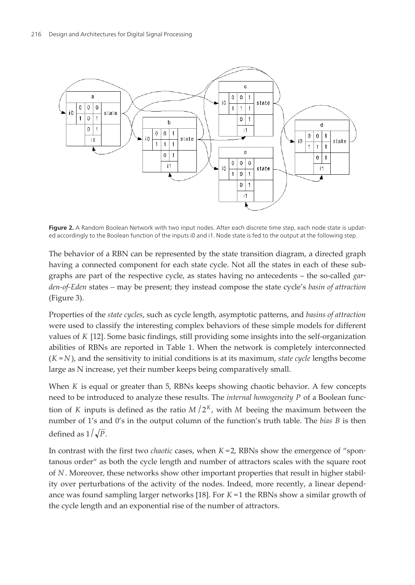<span id="page-5-0"></span>

Figure 2. A Random Boolean Network with two input nodes. After each discrete time step, each node state is updated accordingly to the Boolean function of the inputs i0 and i1. Node state is fed to the output at the following step.

The behavior of a RBN can be represented by the state transition diagram, a directed graph having a connected component for each state cycle. Not all the states in each of these subgraphs are part of the respective cycle, as states having no antecedents – the so-called *gar‐ den-of-Eden* states *–* may be present; they instead compose the state cycle's *basin of attraction* ([Figure 3\)](#page-6-0).

Properties of the *state cycles*, such as cycle length, asymptotic patterns, and *basins of attraction* were used to classify the interesting complex behaviors of these simple models for different values of *K* [\[12](#page-14-0)]. Some basic findings, still providing some insights into the self-organization abilities of RBNs are reported in Table 1. When the network is completely interconnected  $(K = N)$ , and the sensitivity to initial conditions is at its maximum, *state cycle* lengths become large as N increase, yet their number keeps being comparatively small.

When *K* is equal or greater than 5, RBNs keeps showing chaotic behavior. A few concepts need to be introduced to analyze these results. The *internal homogeneity P* of a Boolean func‐ tion of *K* inputs is defined as the ratio  $M/2^{K}$ , with *M* beeing the maximum between the number of 1's and 0's in the output column of the function's truth table. The *bias B* is then defined as  $1/\sqrt{P}$ .

In contrast with the first two *chaotic* cases, when  $K = 2$ , RBNs show the emergence of "spontanous order" as both the cycle length and number of attractors scales with the square root of *N* . Moreover, these networks show other important properties that result in higher stabil‐ ity over perturbations of the activity of the nodes. Indeed, more recently, a linear depend‐ ance was found sampling larger networks [\[18](#page-14-0)]. For *K* =1 the RBNs show a similar growth of the cycle length and an exponential rise of the number of attractors.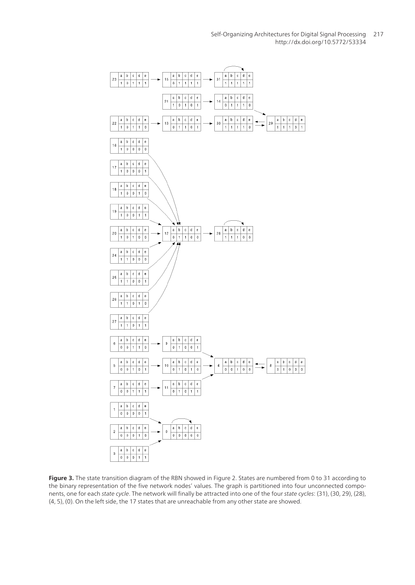Self-Organizing Architectures for Digital Signal Processing 217http://dx.doi.org/10.5772/53334

<span id="page-6-0"></span>

**Figure 3.** The state transition diagram of the RBN showed in [Figure 2.](#page-5-0) States are numbered from 0 to 31 according to the binary representation of the five network nodes' values. The graph is partitioned into four unconnected components, one for each state cycle. The network will finally be attracted into one of the four state cycles: (31), (30, 29), (28), (4, 5), (0). On the left side, the 17 states that are unreachable from any other state are showed.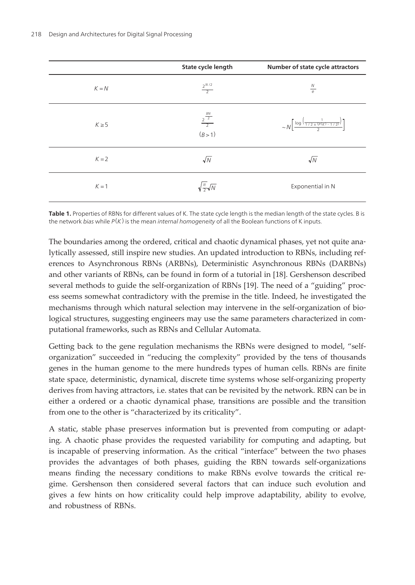|            | State cycle length | Number of state cycle attractors                                                     |
|------------|--------------------|--------------------------------------------------------------------------------------|
| $K = N$    |                    |                                                                                      |
| $K \geq 5$ | (B>1)              | $\sim N \left[ \frac{\log \left( \frac{1}{1/2 \pm (p(k) - 1/2)} \right)}{2} \right]$ |
|            |                    |                                                                                      |
|            | $A = \sqrt{2}$     | Exponential in N                                                                     |

**Table 1.** Properties of RBNs for different values of K. The state cycle length is the median length of the state cycles. B is the network bias while  $P(K)$  is the mean internal homogeneity of all the Boolean functions of K inputs.

The boundaries among the ordered, critical and chaotic dynamical phases, yet not quite analytically assessed, still inspire new studies. An updated introduction to RBNs, including ref‐ erences to Asynchronous RBNs (ARBNs), Deterministic Asynchronous RBNs (DARBNs) and other variants of RBNs, can be found in form of a tutorial in [\[18](#page-14-0)]. Gershenson described several methods to guide the self-organization of RBNs [\[19](#page-15-0)]. The need of a "guiding" process seems somewhat contradictory with the premise in the title. Indeed, he investigated the mechanisms through which natural selection may intervene in the self-organization of biological structures, suggesting engineers may use the same parameters characterized in computational frameworks, such as RBNs and Cellular Automata.

Getting back to the gene regulation mechanisms the RBNs were designed to model, "selforganization" succeeded in "reducing the complexity" provided by the tens of thousands genes in the human genome to the mere hundreds types of human cells. RBNs are finite state space, deterministic, dynamical, discrete time systems whose self-organizing property derives from having attractors, i.e. states that can be revisited by the network. RBN can be in either a ordered or a chaotic dynamical phase, transitions are possible and the transition from one to the other is "characterized by its criticality".

A static, stable phase preserves information but is prevented from computing or adapt‐ ing. A chaotic phase provides the requested variability for computing and adapting, but is incapable of preserving information. As the critical "interface" between the two phases provides the advantages of both phases, guiding the RBN towards self-organizations means finding the necessary conditions to make RBNs evolve towards the critical regime. Gershenson then considered several factors that can induce such evolution and gives a few hints on how criticality could help improve adaptability, ability to evolve, and robustness of RBNs.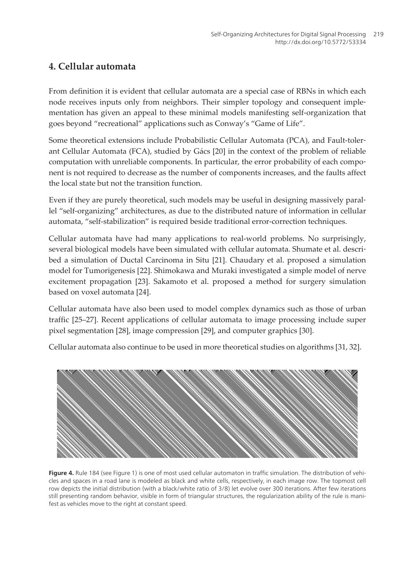## **4. Cellular automata**

From definition it is evident that cellular automata are a special case of RBNs in which each node receives inputs only from neighbors. Their simpler topology and consequent imple‐ mentation has given an appeal to these minimal models manifesting self-organization that goes beyond "recreational" applications such as Conway's "Game of Life".

Some theoretical extensions include Probabilistic Cellular Automata (PCA), and Fault-toler‐ ant Cellular Automata (FCA), studied by Gács [[20\]](#page-15-0) in the context of the problem of reliable computation with unreliable components. In particular, the error probability of each component is not required to decrease as the number of components increases, and the faults affect the local state but not the transition function.

Even if they are purely theoretical, such models may be useful in designing massively paral‐ lel "self-organizing" architectures, as due to the distributed nature of information in cellular automata, "self-stabilization" is required beside traditional error-correction techniques.

Cellular automata have had many applications to real-world problems. No surprisingly, several biological models have been simulated with cellular automata. Shumate et al. described a simulation of Ductal Carcinoma in Situ [[21\]](#page-15-0). Chaudary et al. proposed a simulation model for Tumorigenesis [\[22](#page-15-0)]. Shimokawa and Muraki investigated a simple model of nerve excitement propagation [\[23](#page-15-0)]. Sakamoto et al. proposed a method for surgery simulation based on voxel automata [\[24](#page-15-0)].

Cellular automata have also been used to model complex dynamics such as those of urban traffic [25–27]. Recent applications of cellular automata to image processing include super pixel segmentation [[28\]](#page-15-0), image compression [\[29](#page-15-0)], and computer graphics [[30\]](#page-15-0).

Cellular automata also continue to be used in more theoretical studies on algorithms [[31, 32\]](#page-16-0).



Figure 4. Rule 184 (see [Figure 1\)](#page-3-0) is one of most used cellular automaton in traffic simulation. The distribution of vehicles and spaces in a road lane is modeled as black and white cells, respectively, in each image row. The topmost cell row depicts the initial distribution (with a black/white ratio of 3/8) let evolve over 300 iterations. After few iterations still presenting random behavior, visible in form of triangular structures, the regularization ability of the rule is manifest as vehicles move to the right at constant speed.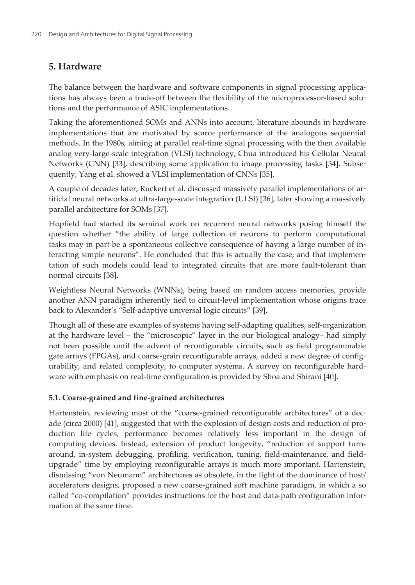## **5. Hardware**

The balance between the hardware and software components in signal processing applications has always been a trade-off between the flexibility of the microprocessor-based solutions and the performance of ASIC implementations.

Taking the aforementioned SOMs and ANNs into account, literature abounds in hardware implementations that are motivated by scarce performance of the analogous sequential methods. In the 1980s, aiming at parallel real-time signal processing with the then available analog very-large-scale integration (VLSI) technology, Chua introduced his Cellular Neural Networks (CNN) [[33\]](#page-16-0), describing some application to image processing tasks [\[34](#page-16-0)]. Subsequently, Yang et al. showed a VLSI implementation of CNNs [[35\]](#page-16-0).

A couple of decades later, Ruckert et al. discussed massively parallel implementations of ar‐ tificial neural networks at ultra-large-scale integration (ULSI) [\[36](#page-16-0)], later showing a massively parallel architecture for SOMs [[37\]](#page-16-0).

Hopfield had started its seminal work on recurrent neural networks posing himself the question whether "the ability of large collection of neurons to perform computational tasks may in part be a spontaneous collective consequence of having a large number of in‐ teracting simple neurons". He concluded that this is actually the case, and that implemen‐ tation of such models could lead to integrated circuits that are more fault-tolerant than normal circuits [\[38](#page-16-0)].

Weightless Neural Networks (WNNs), being based on random access memories, provide another ANN paradigm inherently tied to circuit-level implementation whose origins trace back to Alexander's "Self-adaptive universal logic circuits" [[39\]](#page-16-0).

Though all of these are examples of systems having self-adapting qualities, self-organization at the hardware level – the "microscopic" layer in the our biological analogy– had simply not been possible until the advent of reconfigurable circuits, such as field programmable gate arrays (FPGAs), and coarse-grain reconfigurable arrays, added a new degree of config‐ urability, and related complexity, to computer systems. A survey on reconfigurable hardware with emphasis on real-time configuration is provided by Shoa and Shirani [[40\]](#page-16-0).

#### **5.1. Coarse-grained and fine-grained architectures**

Hartenstein, reviewing most of the "coarse-grained reconfigurable architectures" of a dec-ade (circa 2000) [\[41](#page-16-0)], suggested that with the explosion of design costs and reduction of production life cycles, performance becomes relatively less important in the design of computing devices. Instead, extension of product longevity, "reduction of support turnaround, in-system debugging, profiling, verification, tuning, field-maintenance, and fieldupgrade" time by employing reconfigurable arrays is much more important. Hartenstein, dismissing "von Neumann" architectures as obsolete, in the light of the dominance of host/ accelerators designs, proposed a new coarse-grained soft machine paradigm, in which a so called "co-compilation" provides instructions for the host and data-path configuration information at the same time.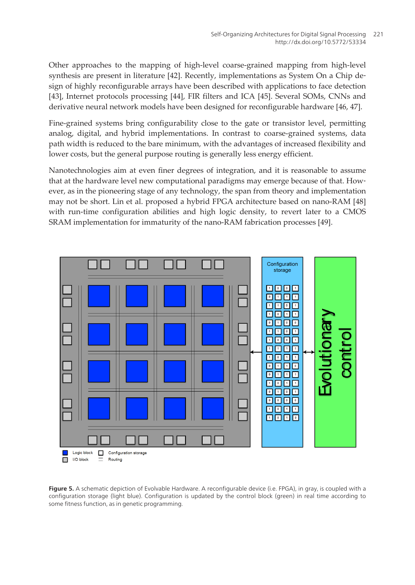<span id="page-10-0"></span>Other approaches to the mapping of high-level coarse-grained mapping from high-level synthesis are present in literature [[42\]](#page-16-0). Recently, implementations as System On a Chip design of highly reconfigurable arrays have been described with applications to face detection [[43\]](#page-16-0), Internet protocols processing [[44\]](#page-17-0), FIR filters and ICA [\[45](#page-17-0)]. Several SOMs, CNNs and derivative neural network models have been designed for reconfigurable hardware [\[46](#page-17-0), [47\]](#page-17-0).

Fine-grained systems bring configurability close to the gate or transistor level, permitting analog, digital, and hybrid implementations. In contrast to coarse-grained systems, data path width is reduced to the bare minimum, with the advantages of increased flexibility and lower costs, but the general purpose routing is generally less energy efficient.

Nanotechnologies aim at even finer degrees of integration, and it is reasonable to assume that at the hardware level new computational paradigms may emerge because of that. However, as in the pioneering stage of any technology, the span from theory and implementation may not be short. Lin et al. proposed a hybrid FPGA architecture based on nano-RAM [\[48](#page-17-0)] with run-time configuration abilities and high logic density, to revert later to a CMOS SRAM implementation for immaturity of the nano-RAM fabrication processes [\[49](#page-17-0)].



**Figure 5.** A schematic depiction of Evolvable Hardware. A reconfigurable device (i.e. FPGA), in gray, is coupled with a configuration storage (light blue). Configuration is updated by the control block (green) in real time according to some fitness function, as in genetic programming.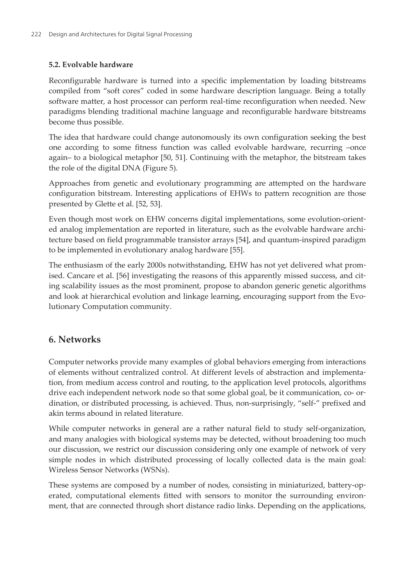#### **5.2. Evolvable hardware**

Reconfigurable hardware is turned into a specific implementation by loading bitstreams compiled from "soft cores" coded in some hardware description language. Being a totally software matter, a host processor can perform real-time reconfiguration when needed. New paradigms blending traditional machine language and reconfigurable hardware bitstreams become thus possible.

The idea that hardware could change autonomously its own configuration seeking the best one according to some fitness function was called evolvable hardware, recurring –once again– to a biological metaphor [[50,](#page-17-0) [51\]](#page-17-0). Continuing with the metaphor, the bitstream takes the role of the digital DNA ([Figure 5\)](#page-10-0).

Approaches from genetic and evolutionary programming are attempted on the hardware configuration bitstream. Interesting applications of EHWs to pattern recognition are those presented by Glette et al. [[52, 53](#page-17-0)].

Even though most work on EHW concerns digital implementations, some evolution-oriented analog implementation are reported in literature, such as the evolvable hardware architecture based on field programmable transistor arrays [\[54](#page-17-0)], and quantum-inspired paradigm to be implemented in evolutionary analog hardware [\[55](#page-17-0)].

The enthusiasm of the early 2000s notwithstanding, EHW has not yet delivered what prom‐ ised. Cancare et al. [\[56](#page-18-0)] investigating the reasons of this apparently missed success, and citing scalability issues as the most prominent, propose to abandon generic genetic algorithms and look at hierarchical evolution and linkage learning, encouraging support from the Evolutionary Computation community.

## **6. Networks**

Computer networks provide many examples of global behaviors emerging from interactions of elements without centralized control. At different levels of abstraction and implementa‐ tion, from medium access control and routing, to the application level protocols, algorithms drive each independent network node so that some global goal, be it communication, co- or‐ dination, or distributed processing, is achieved. Thus, non-surprisingly, "self-" prefixed and akin terms abound in related literature.

While computer networks in general are a rather natural field to study self-organization, and many analogies with biological systems may be detected, without broadening too much our discussion, we restrict our discussion considering only one example of network of very simple nodes in which distributed processing of locally collected data is the main goal: Wireless Sensor Networks (WSNs).

These systems are composed by a number of nodes, consisting in miniaturized, battery-op‐ erated, computational elements fitted with sensors to monitor the surrounding environment, that are connected through short distance radio links. Depending on the applications,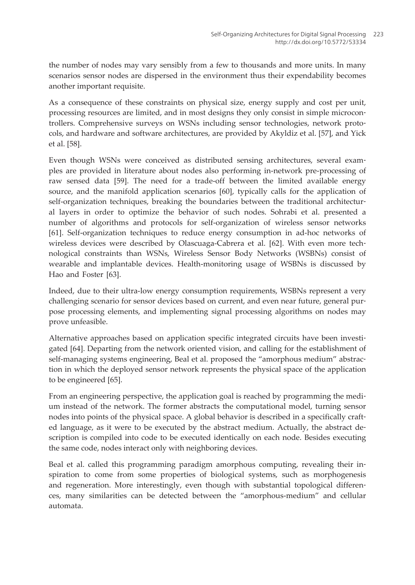the number of nodes may vary sensibly from a few to thousands and more units. In many scenarios sensor nodes are dispersed in the environment thus their expendability becomes another important requisite.

As a consequence of these constraints on physical size, energy supply and cost per unit, processing resources are limited, and in most designs they only consist in simple microcontrollers. Comprehensive surveys on WSNs including sensor technologies, network proto‐ cols, and hardware and software architectures, are provided by Akyldiz et al. [\[57](#page-18-0)], and Yick et al. [[58\]](#page-18-0).

Even though WSNs were conceived as distributed sensing architectures, several examples are provided in literature about nodes also performing in-network pre-processing of raw sensed data [\[59](#page-18-0)]. The need for a trade-off between the limited available energy source, and the manifold application scenarios [[60\]](#page-18-0), typically calls for the application of self-organization techniques, breaking the boundaries between the traditional architectural layers in order to optimize the behavior of such nodes. Sohrabi et al. presented a number of algorithms and protocols for self-organization of wireless sensor networks [61]. Self-organization techniques to reduce energy consumption in ad-hoc networks of wireless devices were described by Olascuaga-Cabrera et al. [62]. With even more technological constraints than WSNs, Wireless Sensor Body Networks (WSBNs) consist of wearable and implantable devices. Health-monitoring usage of WSBNs is discussed by Hao and Foster [63].

Indeed, due to their ultra-low energy consumption requirements, WSBNs represent a very challenging scenario for sensor devices based on current, and even near future, general pur‐ pose processing elements, and implementing signal processing algorithms on nodes may prove unfeasible.

Alternative approaches based on application specific integrated circuits have been investi‐ gated [64]. Departing from the network oriented vision, and calling for the establishment of self-managing systems engineering, Beal et al. proposed the "amorphous medium" abstraction in which the deployed sensor network represents the physical space of the application to be engineered [65].

From an engineering perspective, the application goal is reached by programming the medium instead of the network. The former abstracts the computational model, turning sensor nodes into points of the physical space. A global behavior is described in a specifically craft‐ ed language, as it were to be executed by the abstract medium. Actually, the abstract de‐ scription is compiled into code to be executed identically on each node. Besides executing the same code, nodes interact only with neighboring devices.

Beal et al. called this programming paradigm amorphous computing, revealing their in‐ spiration to come from some properties of biological systems, such as morphogenesis and regeneration. More interestingly, even though with substantial topological differences, many similarities can be detected between the "amorphous-medium" and cellular automata.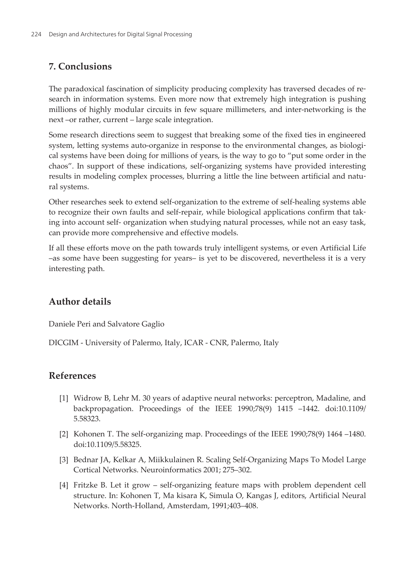## <span id="page-13-0"></span>**7. Conclusions**

The paradoxical fascination of simplicity producing complexity has traversed decades of re‐ search in information systems. Even more now that extremely high integration is pushing millions of highly modular circuits in few square millimeters, and inter-networking is the next –or rather, current – large scale integration.

Some research directions seem to suggest that breaking some of the fixed ties in engineered system, letting systems auto-organize in response to the environmental changes, as biological systems have been doing for millions of years, is the way to go to "put some order in the chaos". In support of these indications, self-organizing systems have provided interesting results in modeling complex processes, blurring a little the line between artificial and natural systems.

Other researches seek to extend self-organization to the extreme of self-healing systems able to recognize their own faults and self-repair, while biological applications confirm that tak‐ ing into account self- organization when studying natural processes, while not an easy task, can provide more comprehensive and effective models.

If all these efforts move on the path towards truly intelligent systems, or even Artificial Life –as some have been suggesting for years– is yet to be discovered, nevertheless it is a very interesting path.

# **Author details**

Daniele Peri and Salvatore Gaglio

DICGIM - University of Palermo, Italy, ICAR - CNR, Palermo, Italy

## **References**

- [1] Widrow B, Lehr M. 30 years of adaptive neural networks: perceptron, Madaline, and backpropagation. Proceedings of the IEEE 1990;78(9) 1415 –1442. doi:10.1109/ 5.58323.
- [2] Kohonen T. The self-organizing map. Proceedings of the IEEE 1990;78(9) 1464 –1480. doi:10.1109/5.58325.
- [3] Bednar JA, Kelkar A, Miikkulainen R. Scaling Self-Organizing Maps To Model Large Cortical Networks. Neuroinformatics 2001; 275–302.
- [4] Fritzke B. Let it grow self-organizing feature maps with problem dependent cell structure. In: Kohonen T, Ma kisara K, Simula O, Kangas J, editors, Artificial Neural Networks. North-Holland, Amsterdam, 1991;403–408.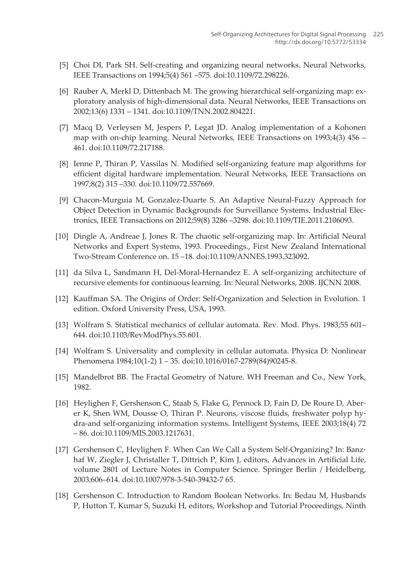- <span id="page-14-0"></span>[5] Choi DI, Park SH. Self-creating and organizing neural networks. Neural Networks, IEEE Transactions on 1994;5(4) 561 –575. doi:10.1109/72.298226.
- [6] Rauber A, Merkl D, Dittenbach M. The growing hierarchical self-organizing map: ex‐ ploratory analysis of high-dimensional data. Neural Networks, IEEE Transactions on 2002;13(6) 1331 – 1341. doi:10.1109/TNN.2002.804221.
- [7] Macq D, Verleysen M, Jespers P, Legat JD. Analog implementation of a Kohonen map with on-chip learning. Neural Networks, IEEE Transactions on 1993;4(3) 456 – 461. doi:10.1109/72.217188.
- [8] Ienne P, Thiran P, Vassilas N. Modified self-organizing feature map algorithms for efficient digital hardware implementation. Neural Networks, IEEE Transactions on 1997;8(2) 315 –330. doi:10.1109/72.557669.
- [9] Chacon-Murguia M, Gonzalez-Duarte S. An Adaptive Neural-Fuzzy Approach for Object Detection in Dynamic Backgrounds for Surveillance Systems. Industrial Electronics, IEEE Transactions on 2012;59(8) 3286 –3298. doi:10.1109/TIE.2011.2106093.
- [10] Dingle A, Andreae J, Jones R. The chaotic self-organizing map. In: Artificial Neural Networks and Expert Systems, 1993. Proceedings., First New Zealand International Two-Stream Conference on. 15 –18. doi:10.1109/ANNES.1993.323092.
- [11] da Silva L, Sandmann H, Del-Moral-Hernandez E. A self-organizing architecture of recursive elements for continuous learning. In: Neural Networks, 2008. IJCNN 2008.
- [12] Kauffman SA. The Origins of Order: Self-Organization and Selection in Evolution. 1 edition. Oxford University Press, USA, 1993.
- [13] Wolfram S. Statistical mechanics of cellular automata. Rev. Mod. Phys. 1983;55 601– 644. doi:10.1103/RevModPhys.55.601.
- [14] Wolfram S. Universality and complexity in cellular automata. Physica D: Nonlinear Phenomena 1984;10(1-2) 1 – 35. doi:10.1016/0167-2789(84)90245-8.
- [15] Mandelbrot BB. The Fractal Geometry of Nature. WH Freeman and Co., New York, 1982.
- [16] Heylighen F, Gershenson C, Staab S, Flake G, Pennock D, Fain D, De Roure D, Aber‐ er K, Shen WM, Dousse O, Thiran P. Neurons, viscose fluids, freshwater polyp hy‐ dra-and self-organizing information systems. Intelligent Systems, IEEE 2003;18(4) 72 – 86. doi:10.1109/MIS.2003.1217631.
- [17] Gershenson C, Heylighen F. When Can We Call a System Self-Organizing? In: Banzhaf W, Ziegler J, Christaller T, Dittrich P, Kim J, editors, Advances in Artificial Life, volume 2801 of Lecture Notes in Computer Science. Springer Berlin / Heidelberg, 2003;606–614. doi:10.1007/978-3-540-39432-7 65.
- [18] Gershenson C. Introduction to Random Boolean Networks. In: Bedau M, Husbands P, Hutton T, Kumar S, Suzuki H, editors, Workshop and Tutorial Proceedings, Ninth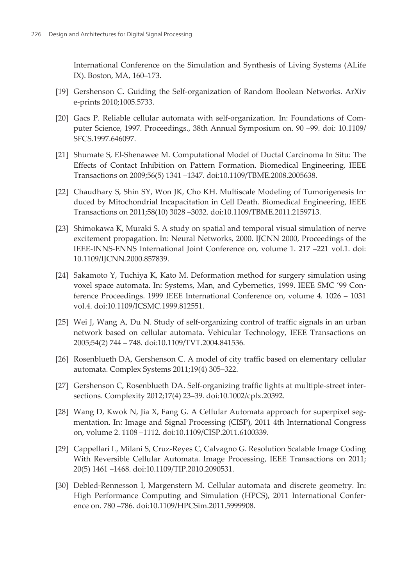<span id="page-15-0"></span>International Conference on the Simulation and Synthesis of Living Systems (ALife IX). Boston, MA, 160–173.

- [19] Gershenson C. Guiding the Self-organization of Random Boolean Networks. ArXiv e-prints 2010;1005.5733.
- [20] Gacs P. Reliable cellular automata with self-organization. In: Foundations of Computer Science, 1997. Proceedings., 38th Annual Symposium on. 90 –99. doi: 10.1109/ SFCS.1997.646097.
- [21] Shumate S, El-Shenawee M. Computational Model of Ductal Carcinoma In Situ: The Effects of Contact Inhibition on Pattern Formation. Biomedical Engineering, IEEE Transactions on 2009;56(5) 1341 –1347. doi:10.1109/TBME.2008.2005638.
- [22] Chaudhary S, Shin SY, Won JK, Cho KH. Multiscale Modeling of Tumorigenesis Induced by Mitochondrial Incapacitation in Cell Death. Biomedical Engineering, IEEE Transactions on 2011;58(10) 3028 –3032. doi:10.1109/TBME.2011.2159713.
- [23] Shimokawa K, Muraki S. A study on spatial and temporal visual simulation of nerve excitement propagation. In: Neural Networks, 2000. IJCNN 2000, Proceedings of the IEEE-INNS-ENNS International Joint Conference on, volume 1. 217 –221 vol.1. doi: 10.1109/IJCNN.2000.857839.
- [24] Sakamoto Y, Tuchiya K, Kato M. Deformation method for surgery simulation using voxel space automata. In: Systems, Man, and Cybernetics, 1999. IEEE SMC '99 Conference Proceedings. 1999 IEEE International Conference on, volume 4. 1026 – 1031 vol.4. doi:10.1109/ICSMC.1999.812551.
- [25] Wei J, Wang A, Du N. Study of self-organizing control of traffic signals in an urban network based on cellular automata. Vehicular Technology, IEEE Transactions on 2005;54(2) 744 – 748. doi:10.1109/TVT.2004.841536.
- [26] Rosenblueth DA, Gershenson C. A model of city traffic based on elementary cellular automata. Complex Systems 2011;19(4) 305–322.
- [27] Gershenson C, Rosenblueth DA. Self-organizing traffic lights at multiple-street intersections. Complexity 2012;17(4) 23–39. doi:10.1002/cplx.20392.
- [28] Wang D, Kwok N, Jia X, Fang G. A Cellular Automata approach for superpixel segmentation. In: Image and Signal Processing (CISP), 2011 4th International Congress on, volume 2. 1108 –1112. doi:10.1109/CISP.2011.6100339.
- [29] Cappellari L, Milani S, Cruz-Reyes C, Calvagno G. Resolution Scalable Image Coding With Reversible Cellular Automata. Image Processing, IEEE Transactions on 2011; 20(5) 1461 –1468. doi:10.1109/TIP.2010.2090531.
- [30] Debled-Rennesson I, Margenstern M. Cellular automata and discrete geometry. In: High Performance Computing and Simulation (HPCS), 2011 International Confer‐ ence on. 780 –786. doi:10.1109/HPCSim.2011.5999908.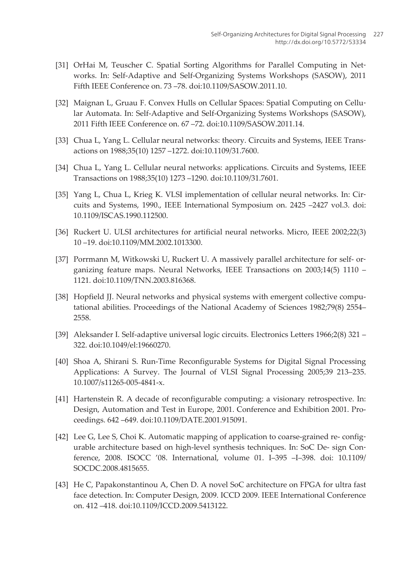- <span id="page-16-0"></span>[31] OrHai M, Teuscher C. Spatial Sorting Algorithms for Parallel Computing in Networks. In: Self-Adaptive and Self-Organizing Systems Workshops (SASOW), 2011 Fifth IEEE Conference on. 73 –78. doi:10.1109/SASOW.2011.10.
- [32] Maignan L, Gruau F. Convex Hulls on Cellular Spaces: Spatial Computing on Cellular Automata. In: Self-Adaptive and Self-Organizing Systems Workshops (SASOW), 2011 Fifth IEEE Conference on. 67 –72. doi:10.1109/SASOW.2011.14.
- [33] Chua L, Yang L. Cellular neural networks: theory. Circuits and Systems, IEEE Transactions on 1988;35(10) 1257 –1272. doi:10.1109/31.7600.
- [34] Chua L, Yang L. Cellular neural networks: applications. Circuits and Systems, IEEE Transactions on 1988;35(10) 1273 –1290. doi:10.1109/31.7601.
- [35] Yang L, Chua L, Krieg K. VLSI implementation of cellular neural networks. In: Circuits and Systems, 1990., IEEE International Symposium on. 2425 –2427 vol.3. doi: 10.1109/ISCAS.1990.112500.
- [36] Ruckert U. ULSI architectures for artificial neural networks. Micro, IEEE 2002;22(3) 10 –19. doi:10.1109/MM.2002.1013300.
- [37] Porrmann M, Witkowski U, Ruckert U. A massively parallel architecture for self- organizing feature maps. Neural Networks, IEEE Transactions on 2003;14(5) 1110 – 1121. doi:10.1109/TNN.2003.816368.
- [38] Hopfield JJ. Neural networks and physical systems with emergent collective computational abilities. Proceedings of the National Academy of Sciences 1982;79(8) 2554– 2558.
- [39] Aleksander I. Self-adaptive universal logic circuits. Electronics Letters 1966;2(8) 321 322. doi:10.1049/el:19660270.
- [40] Shoa A, Shirani S. Run-Time Reconfigurable Systems for Digital Signal Processing Applications: A Survey. The Journal of VLSI Signal Processing 2005;39 213–235. 10.1007/s11265-005-4841-x.
- [41] Hartenstein R. A decade of reconfigurable computing: a visionary retrospective. In: Design, Automation and Test in Europe, 2001. Conference and Exhibition 2001. Proceedings. 642 –649. doi:10.1109/DATE.2001.915091.
- [42] Lee G, Lee S, Choi K. Automatic mapping of application to coarse-grained re- configurable architecture based on high-level synthesis techniques. In: SoC De- sign Con‐ ference, 2008. ISOCC '08. International, volume 01. I–395 –I–398. doi: 10.1109/ SOCDC.2008.4815655.
- [43] He C, Papakonstantinou A, Chen D. A novel SoC architecture on FPGA for ultra fast face detection. In: Computer Design, 2009. ICCD 2009. IEEE International Conference on. 412 –418. doi:10.1109/ICCD.2009.5413122.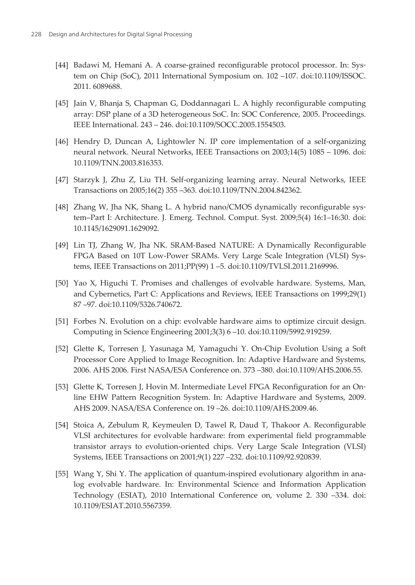- <span id="page-17-0"></span>[44] Badawi M, Hemani A. A coarse-grained reconfigurable protocol processor. In: System on Chip (SoC), 2011 International Symposium on. 102 –107. doi:10.1109/ISSOC. 2011. 6089688.
- [45] Jain V, Bhanja S, Chapman G, Doddannagari L. A highly reconfigurable computing array: DSP plane of a 3D heterogeneous SoC. In: SOC Conference, 2005. Proceedings. IEEE International. 243 – 246. doi:10.1109/SOCC.2005.1554503.
- [46] Hendry D, Duncan A, Lightowler N. IP core implementation of a self-organizing neural network. Neural Networks, IEEE Transactions on 2003;14(5) 1085 – 1096. doi: 10.1109/TNN.2003.816353.
- [47] Starzyk J, Zhu Z, Liu TH. Self-organizing learning array. Neural Networks, IEEE Transactions on 2005;16(2) 355 –363. doi:10.1109/TNN.2004.842362.
- [48] Zhang W, Jha NK, Shang L. A hybrid nano/CMOS dynamically reconfigurable sys‐ tem–Part I: Architecture. J. Emerg. Technol. Comput. Syst. 2009;5(4) 16:1–16:30. doi: 10.1145/1629091.1629092.
- [49] Lin TJ, Zhang W, Jha NK. SRAM-Based NATURE: A Dynamically Reconfigurable FPGA Based on 10T Low-Power SRAMs. Very Large Scale Integration (VLSI) Systems, IEEE Transactions on 2011;PP(99) 1 –5. doi:10.1109/TVLSI.2011.2169996.
- [50] Yao X, Higuchi T. Promises and challenges of evolvable hardware. Systems, Man, and Cybernetics, Part C: Applications and Reviews, IEEE Transactions on 1999;29(1) 87 –97. doi:10.1109/5326.740672.
- [51] Forbes N. Evolution on a chip: evolvable hardware aims to optimize circuit design. Computing in Science Engineering 2001;3(3) 6 –10. doi:10.1109/5992.919259.
- [52] Glette K, Torresen J, Yasunaga M, Yamaguchi Y. On-Chip Evolution Using a Soft Processor Core Applied to Image Recognition. In: Adaptive Hardware and Systems, 2006. AHS 2006. First NASA/ESA Conference on. 373 –380. doi:10.1109/AHS.2006.55.
- [53] Glette K, Torresen J, Hovin M. Intermediate Level FPGA Reconfiguration for an Online EHW Pattern Recognition System. In: Adaptive Hardware and Systems, 2009. AHS 2009. NASA/ESA Conference on. 19 –26. doi:10.1109/AHS.2009.46.
- [54] Stoica A, Zebulum R, Keymeulen D, Tawel R, Daud T, Thakoor A. Reconfigurable VLSI architectures for evolvable hardware: from experimental field programmable transistor arrays to evolution-oriented chips. Very Large Scale Integration (VLSI) Systems, IEEE Transactions on 2001;9(1) 227 –232. doi:10.1109/92.920839.
- [55] Wang Y, Shi Y. The application of quantum-inspired evolutionary algorithm in analog evolvable hardware. In: Environmental Science and Information Application Technology (ESIAT), 2010 International Conference on, volume 2. 330 –334. doi: 10.1109/ESIAT.2010.5567359.